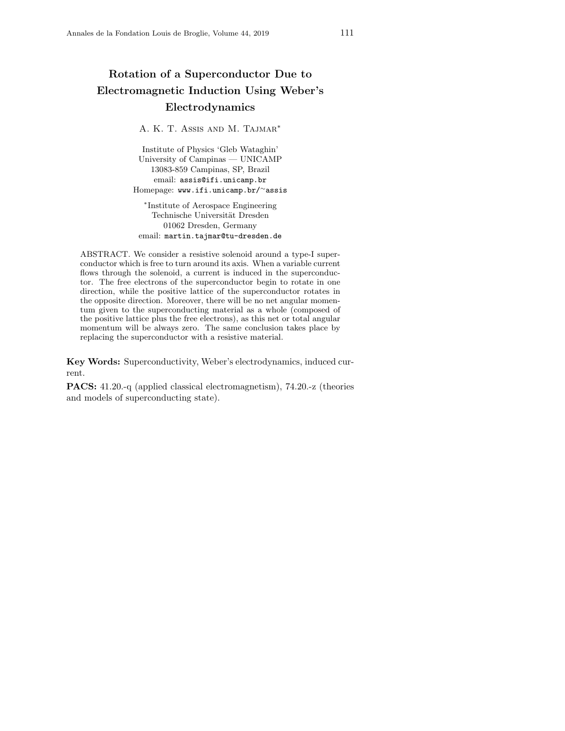# Rotation of a Superconductor Due to Electromagnetic Induction Using Weber's Electrodynamics

A. K. T. Assis and M. Tajmar<sup>\*</sup>

Institute of Physics 'Gleb Wataghin' University of Campinas — UNICAMP 13083-859 Campinas, SP, Brazil email: assis@ifi.unicamp.br Homepage: www.ifi.unicamp.br/<sup>∼</sup>assis

∗ Institute of Aerospace Engineering Technische Universität Dresden 01062 Dresden, Germany email: martin.tajmar@tu-dresden.de

ABSTRACT. We consider a resistive solenoid around a type-I superconductor which is free to turn around its axis. When a variable current flows through the solenoid, a current is induced in the superconductor. The free electrons of the superconductor begin to rotate in one direction, while the positive lattice of the superconductor rotates in the opposite direction. Moreover, there will be no net angular momentum given to the superconducting material as a whole (composed of the positive lattice plus the free electrons), as this net or total angular momentum will be always zero. The same conclusion takes place by replacing the superconductor with a resistive material.

Key Words: Superconductivity, Weber's electrodynamics, induced current.

PACS: 41.20.-q (applied classical electromagnetism), 74.20.-z (theories and models of superconducting state).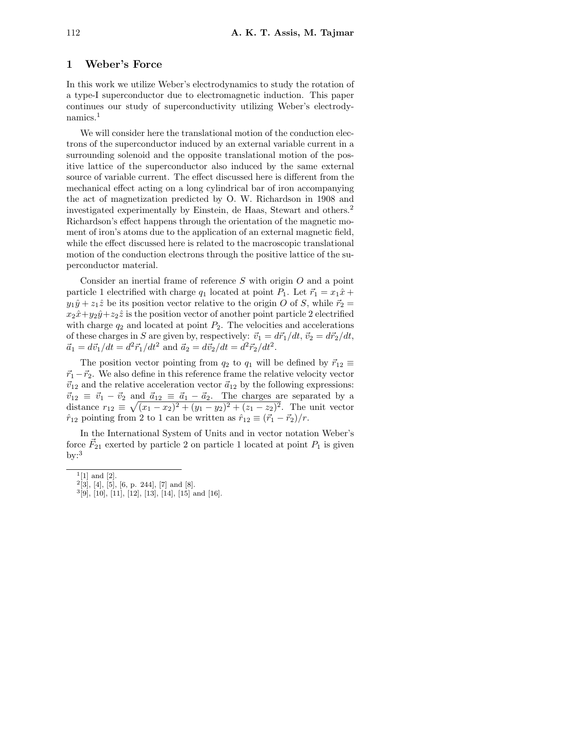#### 1 Weber's Force

In this work we utilize Weber's electrodynamics to study the rotation of a type-I superconductor due to electromagnetic induction. This paper continues our study of superconductivity utilizing Weber's electrodynamics.<sup>1</sup>

We will consider here the translational motion of the conduction electrons of the superconductor induced by an external variable current in a surrounding solenoid and the opposite translational motion of the positive lattice of the superconductor also induced by the same external source of variable current. The effect discussed here is different from the mechanical effect acting on a long cylindrical bar of iron accompanying the act of magnetization predicted by O. W. Richardson in 1908 and investigated experimentally by Einstein, de Haas, Stewart and others.<sup>2</sup> Richardson's effect happens through the orientation of the magnetic moment of iron's atoms due to the application of an external magnetic field, while the effect discussed here is related to the macroscopic translational motion of the conduction electrons through the positive lattice of the superconductor material.

Consider an inertial frame of reference S with origin O and a point particle 1 electrified with charge  $q_1$  located at point  $P_1$ . Let  $\vec{r}_1 = x_1 \hat{x} + x_2 \hat{x}$  $y_1\hat{y} + z_1\hat{z}$  be its position vector relative to the origin O of S, while  $\vec{r}_2$  =  $x_2\hat{x}+y_2\hat{y}+z_2\hat{z}$  is the position vector of another point particle 2 electrified with charge  $q_2$  and located at point  $P_2$ . The velocities and accelerations of these charges in S are given by, respectively:  $\vec{v}_1 = d\vec{r}_1/dt, \vec{v}_2 = d\vec{r}_2/dt$ ,  $\vec{a}_1 = d\vec{v}_1/dt = d^2\vec{r}_1/dt^2$  and  $\vec{a}_2 = d\vec{v}_2/dt = d^2\vec{r}_2/dt^2$ .

The position vector pointing from  $q_2$  to  $q_1$  will be defined by  $\vec{r}_{12} \equiv$  $\vec{r}_1 - \vec{r}_2$ . We also define in this reference frame the relative velocity vector  $\vec{v}_{12}$  and the relative acceleration vector  $\vec{a}_{12}$  by the following expressions:  $\vec{v}_{12} \equiv \vec{v}_1 - \vec{v}_2$  and  $\vec{a}_{12} \equiv \vec{a}_1 - \vec{a}_2$ . The charges are separated by a distance  $r_{12} \equiv \sqrt{(x_1 - x_2)^2 + (y_1 - y_2)^2 + (z_1 - z_2)^2}$ . The unit vector  $\hat{r}_{12}$  pointing from 2 to 1 can be written as  $\hat{r}_{12} \equiv (\vec{r}_1 - \vec{r}_2)/r$ .

In the International System of Units and in vector notation Weber's force  $\vec{F}_{21}$  exerted by particle 2 on particle 1 located at point  $P_1$  is given  $by:3$ 

 $^{1}[1]$  and  $[2]$ .

 $^{2}[3]$ , [4], [5], [6, p. 244], [7] and [8].

 $3[9]$ ,  $[10]$ ,  $[11]$ ,  $[12]$ ,  $[13]$ ,  $[14]$ ,  $[15]$  and  $[16]$ .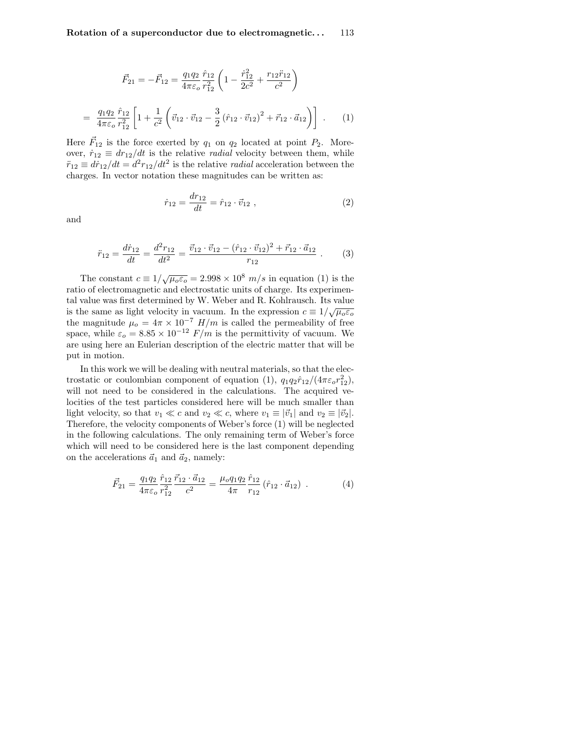$$
\vec{F}_{21} = -\vec{F}_{12} = \frac{q_1 q_2}{4\pi \varepsilon_o} \frac{\hat{r}_{12}}{r_{12}^2} \left( 1 - \frac{\dot{r}_{12}^2}{2c^2} + \frac{r_{12} \ddot{r}_{12}}{c^2} \right)
$$

$$
= \frac{q_1 q_2}{4\pi \varepsilon_o} \frac{\hat{r}_{12}}{r_{12}^2} \left[ 1 + \frac{1}{c^2} \left( \vec{v}_{12} \cdot \vec{v}_{12} - \frac{3}{2} \left( \hat{r}_{12} \cdot \vec{v}_{12} \right)^2 + \vec{r}_{12} \cdot \vec{a}_{12} \right) \right] . \tag{1}
$$

Here  $\vec{F}_{12}$  is the force exerted by  $q_1$  on  $q_2$  located at point  $P_2$ . Moreover,  $\dot{r}_{12} \equiv dr_{12}/dt$  is the relative *radial* velocity between them, while  $\ddot{r}_{12} \equiv d\dot{r}_{12}/dt = d^2r_{12}/dt^2$  is the relative *radial* acceleration between the charges. In vector notation these magnitudes can be written as:

$$
\dot{r}_{12} = \frac{dr_{12}}{dt} = \hat{r}_{12} \cdot \vec{v}_{12} \ , \qquad (2)
$$

and

$$
\ddot{r}_{12} = \frac{d\dot{r}_{12}}{dt} = \frac{d^2r_{12}}{dt^2} = \frac{\vec{v}_{12} \cdot \vec{v}_{12} - (\hat{r}_{12} \cdot \vec{v}_{12})^2 + \vec{r}_{12} \cdot \vec{a}_{12}}{r_{12}} \ . \tag{3}
$$

The constant  $c \equiv 1/\sqrt{\mu_o \varepsilon_o} = 2.998 \times 10^8$  m/s in equation (1) is the ratio of electromagnetic and electrostatic units of charge. Its experimental value was first determined by W. Weber and R. Kohlrausch. Its value is the same as light velocity in vacuum. In the expression  $c \equiv 1/\sqrt{\mu_o \epsilon_o}$ the magnitude  $\mu_o = 4\pi \times 10^{-7}$  H/m is called the permeability of free space, while  $\varepsilon_o = 8.85 \times 10^{-12}$  F/m is the permittivity of vacuum. We are using here an Eulerian description of the electric matter that will be put in motion.

In this work we will be dealing with neutral materials, so that the electrostatic or coulombian component of equation (1),  $q_1q_2\hat{r}_{12}/(4\pi\varepsilon_o r_{12}^2)$ , will not need to be considered in the calculations. The acquired velocities of the test particles considered here will be much smaller than light velocity, so that  $v_1 \ll c$  and  $v_2 \ll c$ , where  $v_1 \equiv |\vec{v}_1|$  and  $v_2 \equiv |\vec{v}_2|$ . Therefore, the velocity components of Weber's force (1) will be neglected in the following calculations. The only remaining term of Weber's force which will need to be considered here is the last component depending on the accelerations  $\vec{a}_1$  and  $\vec{a}_2$ , namely:

$$
\vec{F}_{21} = \frac{q_1 q_2}{4\pi \varepsilon_o} \frac{\vec{r}_{12}}{r_{12}^2} \frac{\vec{r}_{12} \cdot \vec{a}_{12}}{c^2} = \frac{\mu_o q_1 q_2}{4\pi} \frac{\hat{r}_{12}}{r_{12}} (\hat{r}_{12} \cdot \vec{a}_{12}) \tag{4}
$$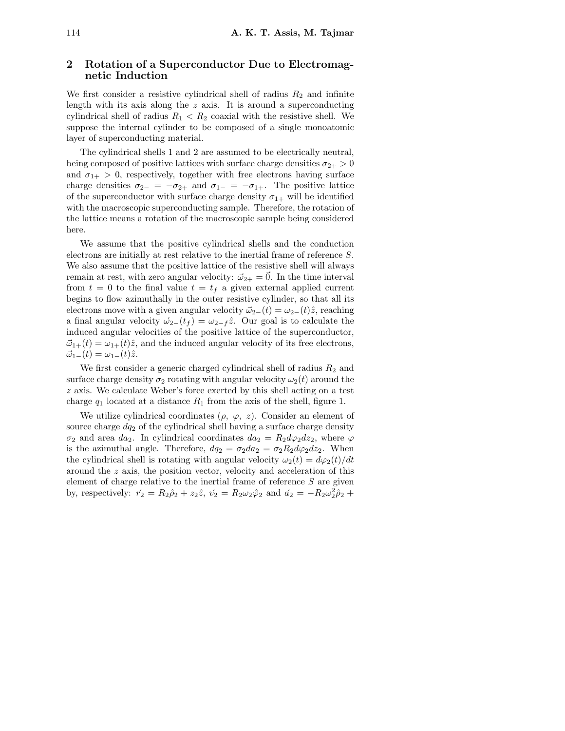# 2 Rotation of a Superconductor Due to Electromagnetic Induction

We first consider a resistive cylindrical shell of radius  $R_2$  and infinite length with its axis along the  $z$  axis. It is around a superconducting cylindrical shell of radius  $R_1 < R_2$  coaxial with the resistive shell. We suppose the internal cylinder to be composed of a single monoatomic layer of superconducting material.

The cylindrical shells 1 and 2 are assumed to be electrically neutral, being composed of positive lattices with surface charge densities  $\sigma_{2+} > 0$ and  $\sigma_{1+} > 0$ , respectively, together with free electrons having surface charge densities  $\sigma_{2-} = -\sigma_{2+}$  and  $\sigma_{1-} = -\sigma_{1+}$ . The positive lattice of the superconductor with surface charge density  $\sigma_{1+}$  will be identified with the macroscopic superconducting sample. Therefore, the rotation of the lattice means a rotation of the macroscopic sample being considered here.

We assume that the positive cylindrical shells and the conduction electrons are initially at rest relative to the inertial frame of reference S. We also assume that the positive lattice of the resistive shell will always remain at rest, with zero angular velocity:  $\vec{\omega}_{2+} = \vec{0}$ . In the time interval from  $t = 0$  to the final value  $t = t_f$  a given external applied current begins to flow azimuthally in the outer resistive cylinder, so that all its electrons move with a given angular velocity  $\vec{\omega}_{2-}(t) = \omega_{2-}(t)\hat{z}$ , reaching a final angular velocity  $\vec{\omega}_{2-}(t_f) = \omega_{2-f} \hat{z}$ . Our goal is to calculate the induced angular velocities of the positive lattice of the superconductor,  $\vec{\omega}_{1+}(t) = \omega_{1+}(t)\hat{z}$ , and the induced angular velocity of its free electrons,  $\vec{\omega}_1(t) = \omega_1(t)\hat{z}.$ 

We first consider a generic charged cylindrical shell of radius  $R_2$  and surface charge density  $\sigma_2$  rotating with angular velocity  $\omega_2(t)$  around the z axis. We calculate Weber's force exerted by this shell acting on a test charge  $q_1$  located at a distance  $R_1$  from the axis of the shell, figure 1.

We utilize cylindrical coordinates  $(\rho, \varphi, z)$ . Consider an element of source charge  $dq_2$  of the cylindrical shell having a surface charge density  $\sigma_2$  and area da<sub>2</sub>. In cylindrical coordinates  $da_2 = R_2 d\varphi_2 dz_2$ , where  $\varphi$ is the azimuthal angle. Therefore,  $dq_2 = \sigma_2 da_2 = \sigma_2 R_2 d\varphi_2 dz_2$ . When the cylindrical shell is rotating with angular velocity  $\omega_2(t) = d\varphi_2(t)/dt$ around the z axis, the position vector, velocity and acceleration of this element of charge relative to the inertial frame of reference  $S$  are given by, respectively:  $\vec{r}_2 = R_2 \hat{\rho}_2 + z_2 \hat{z}$ ,  $\vec{v}_2 = R_2 \omega_2 \hat{\varphi}_2$  and  $\vec{a}_2 = -R_2 \omega_2^2 \hat{\rho}_2 +$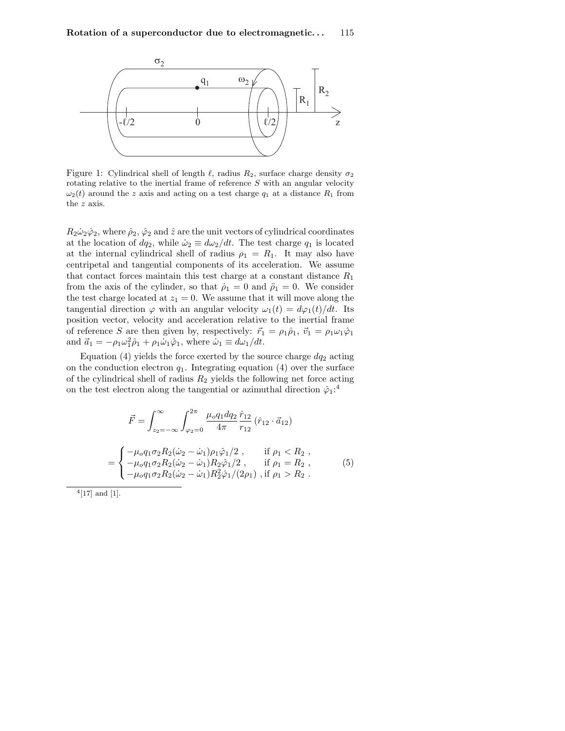

Figure 1: Cylindrical shell of length  $\ell$ , radius  $R_2$ , surface charge density  $\sigma_2$ rotating relative to the inertial frame of reference S with an angular velocity  $\omega_2(t)$  around the z axis and acting on a test charge  $q_1$  at a distance  $R_1$  from the z axis.

 $R_2\dot{\omega}_2\hat{\varphi}_2$ , where  $\hat{\rho}_2$ ,  $\hat{\varphi}_2$  and  $\hat{z}$  are the unit vectors of cylindrical coordinates at the location of  $dq_2$ , while  $\dot{\omega}_2 \equiv d\omega_2/dt$ . The test charge  $q_1$  is located at the internal cylindrical shell of radius  $\rho_1 = R_1$ . It may also have centripetal and tangential components of its acceleration. We assume that contact forces maintain this test charge at a constant distance  $R_1$ from the axis of the cylinder, so that  $\dot{\rho}_1 = 0$  and  $\ddot{\rho}_1 = 0$ . We consider the test charge located at  $z_1 = 0$ . We assume that it will move along the tangential direction  $\varphi$  with an angular velocity  $\omega_1(t) = d\varphi_1(t)/dt$ . Its position vector, velocity and acceleration relative to the inertial frame of reference S are then given by, respectively:  $\vec{r}_1 = \rho_1 \hat{\rho}_1$ ,  $\vec{v}_1 = \rho_1 \omega_1 \hat{\varphi}_1$ and  $\vec{a}_1 = -\rho_1 \omega_1^2 \hat{\rho}_1 + \rho_1 \dot{\omega}_1 \hat{\varphi}_1$ , where  $\dot{\omega}_1 \equiv d\omega_1/dt$ .

Equation (4) yields the force exerted by the source charge  $dq_2$  acting on the conduction electron  $q_1$ . Integrating equation (4) over the surface of the cylindrical shell of radius  $R_2$  yields the following net force acting on the test electron along the tangential or azimuthal direction  $\hat{\varphi}_1$ <sup>2</sup>

$$
\vec{F} = \int_{z_2 = -\infty}^{\infty} \int_{\varphi_2 = 0}^{2\pi} \frac{\mu_o q_1 dq_2 \hat{r}_{12}}{4\pi} (\hat{r}_{12} \cdot \vec{a}_{12})
$$

$$
= \begin{cases}\n-\mu_o q_1 \sigma_2 R_2 (\dot{\omega}_2 - \dot{\omega}_1) \rho_1 \hat{\varphi}_1 / 2, & \text{if } \rho_1 < R_2, \\
-\mu_o q_1 \sigma_2 R_2 (\dot{\omega}_2 - \dot{\omega}_1) R_2 \hat{\varphi}_1 / 2, & \text{if } \rho_1 = R_2, \\
-\mu_o q_1 \sigma_2 R_2 (\dot{\omega}_2 - \dot{\omega}_1) R_2^2 \hat{\varphi}_1 / (2\rho_1), & \text{if } \rho_1 > R_2.\n\end{cases} (5)
$$

 $^{4}[17]$  and [1].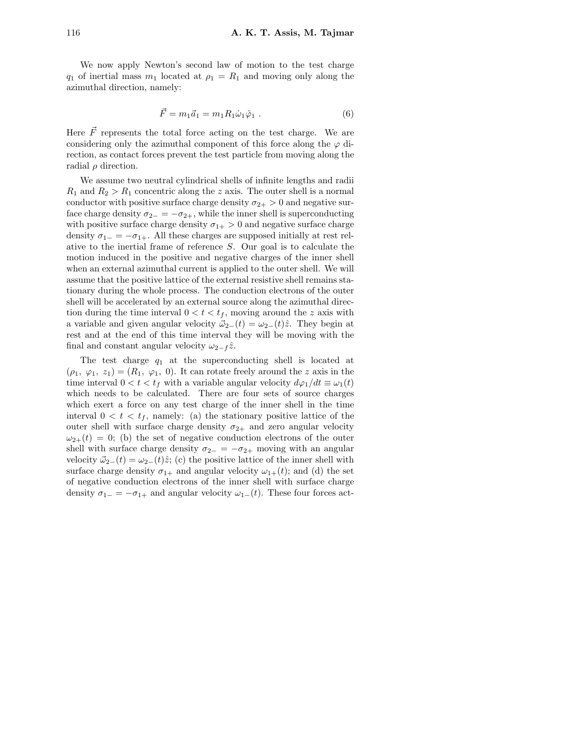We now apply Newton's second law of motion to the test charge  $q_1$  of inertial mass  $m_1$  located at  $\rho_1 = R_1$  and moving only along the azimuthal direction, namely:

$$
\vec{F} = m_1 \vec{a}_1 = m_1 R_1 \dot{\omega}_1 \hat{\varphi}_1 \ . \tag{6}
$$

Here  $\vec{F}$  represents the total force acting on the test charge. We are considering only the azimuthal component of this force along the  $\varphi$  direction, as contact forces prevent the test particle from moving along the radial  $\rho$  direction.

We assume two neutral cylindrical shells of infinite lengths and radii  $R_1$  and  $R_2 > R_1$  concentric along the z axis. The outer shell is a normal conductor with positive surface charge density  $\sigma_{2+} > 0$  and negative surface charge density  $\sigma_{2-} = -\sigma_{2+}$ , while the inner shell is superconducting with positive surface charge density  $\sigma_{1+} > 0$  and negative surface charge density  $\sigma_{1-} = -\sigma_{1+}$ . All these charges are supposed initially at rest relative to the inertial frame of reference S. Our goal is to calculate the motion induced in the positive and negative charges of the inner shell when an external azimuthal current is applied to the outer shell. We will assume that the positive lattice of the external resistive shell remains stationary during the whole process. The conduction electrons of the outer shell will be accelerated by an external source along the azimuthal direction during the time interval  $0 < t < t_f$ , moving around the z axis with a variable and given angular velocity  $\vec{\omega}_{2-}(t) = \omega_{2-}(t)\hat{z}$ . They begin at rest and at the end of this time interval they will be moving with the final and constant angular velocity  $\omega_{2-f} \hat{z}$ .

The test charge  $q_1$  at the superconducting shell is located at  $(\rho_1, \varphi_1, z_1) = (R_1, \varphi_1, 0)$ . It can rotate freely around the z axis in the time interval  $0 < t < t_f$  with a variable angular velocity  $d\varphi_1/dt \equiv \omega_1(t)$ which needs to be calculated. There are four sets of source charges which exert a force on any test charge of the inner shell in the time interval  $0 < t < t_f$ , namely: (a) the stationary positive lattice of the outer shell with surface charge density  $\sigma_{2+}$  and zero angular velocity  $\omega_{2+}(t) = 0$ ; (b) the set of negative conduction electrons of the outer shell with surface charge density  $\sigma_{2-} = -\sigma_{2+}$  moving with an angular velocity  $\vec{\omega}_{2-}(t) = \omega_{2-}(t)\hat{z}$ ; (c) the positive lattice of the inner shell with surface charge density  $\sigma_{1+}$  and angular velocity  $\omega_{1+}(t)$ ; and (d) the set of negative conduction electrons of the inner shell with surface charge density  $\sigma_{1-} = -\sigma_{1+}$  and angular velocity  $\omega_{1-}(t)$ . These four forces act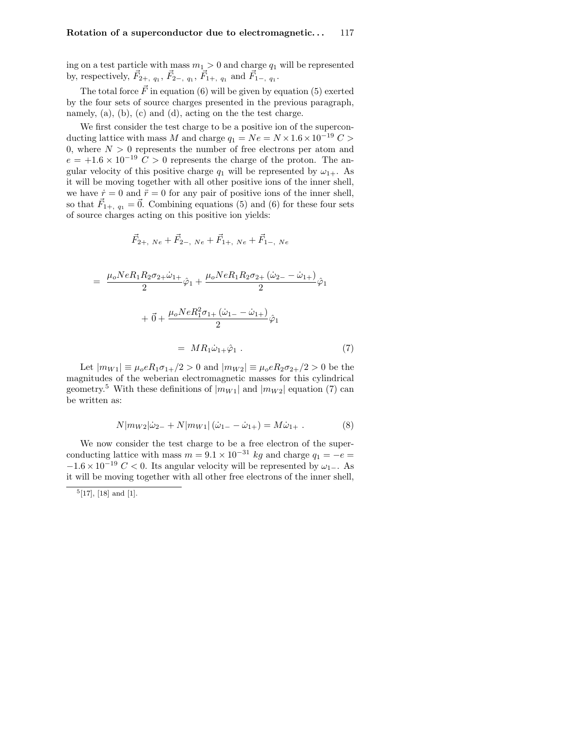ing on a test particle with mass  $m_1 > 0$  and charge  $q_1$  will be represented by, respectively,  $\vec{F}_{2+, q_1}$ ,  $\vec{F}_{2-, q_1}$ ,  $\vec{F}_{1+, q_1}$  and  $\vec{F}_{1-, q_1}$ .

The total force  $\vec{F}$  in equation (6) will be given by equation (5) exerted by the four sets of source charges presented in the previous paragraph, namely,  $(a)$ ,  $(b)$ ,  $(c)$  and  $(d)$ , acting on the the test charge.

We first consider the test charge to be a positive ion of the superconducting lattice with mass M and charge  $q_1 = Ne = N \times 1.6 \times 10^{-19} C >$ 0, where  $N > 0$  represents the number of free electrons per atom and  $e = +1.6 \times 10^{-19}$  C > 0 represents the charge of the proton. The angular velocity of this positive charge  $q_1$  will be represented by  $\omega_{1+}$ . As it will be moving together with all other positive ions of the inner shell, we have  $\dot{r} = 0$  and  $\ddot{r} = 0$  for any pair of positive ions of the inner shell, so that  $\vec{F}_{1+,\,q_1} = \vec{0}$ . Combining equations (5) and (6) for these four sets of source charges acting on this positive ion yields:

$$
\vec{F}_{2+, Ne} + \vec{F}_{2-, Ne} + \vec{F}_{1+, Ne} + \vec{F}_{1-, Ne}
$$

$$
= \frac{\mu_o N e R_1 R_2 \sigma_{2+} \dot{\omega}_{1+}}{2} \hat{\varphi}_1 + \frac{\mu_o N e R_1 R_2 \sigma_{2+} (\dot{\omega}_{2-} - \dot{\omega}_{1+})}{2} \hat{\varphi}_1 + \vec{0} + \frac{\mu_o N e R_1^2 \sigma_{1+} (\dot{\omega}_{1-} - \dot{\omega}_{1+})}{2} \hat{\varphi}_1 = M R_1 \dot{\omega}_{1+} \hat{\varphi}_1.
$$
 (7)

Let  $|m_{W1}| \equiv \mu_0 e R_1 \sigma_{1+}/2 > 0$  and  $|m_{W2}| \equiv \mu_0 e R_2 \sigma_{2+}/2 > 0$  be the magnitudes of the weberian electromagnetic masses for this cylindrical geometry.<sup>5</sup> With these definitions of  $|m_{W1}|$  and  $|m_{W2}|$  equation (7) can be written as:

$$
N|m_{W2}|\dot{\omega}_{2-} + N|m_{W1}|(\dot{\omega}_{1-} - \dot{\omega}_{1+}) = M\dot{\omega}_{1+}.
$$
 (8)

We now consider the test charge to be a free electron of the superconducting lattice with mass  $m = 9.1 \times 10^{-31}$  kg and charge  $q_1 = -e$  $-1.6 \times 10^{-19}$  C < 0. Its angular velocity will be represented by  $\omega_{1-}$ . As it will be moving together with all other free electrons of the inner shell,

 $[17]$ ,  $[18]$  and  $[1]$ .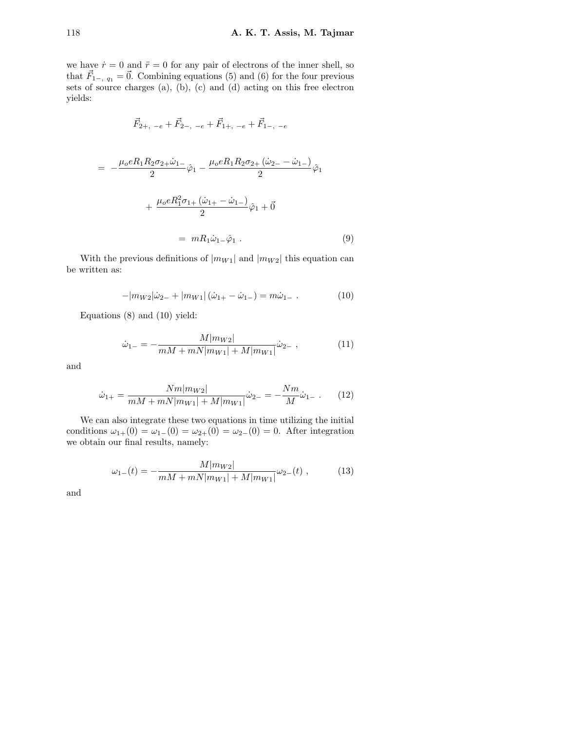we have  $\dot{r} = 0$  and  $\ddot{r} = 0$  for any pair of electrons of the inner shell, so that  $\vec{F}_{1-}$ ,  $q_1 = \vec{0}$ . Combining equations (5) and (6) for the four previous sets of source charges (a), (b), (c) and (d) acting on this free electron yields:

$$
\vec{F}_{2+,\;-e}+\vec{F}_{2-,\;-e}+\vec{F}_{1+,\;-e}+\vec{F}_{1-,\;-e}
$$

$$
= -\frac{\mu_0 e R_1 R_2 \sigma_{2+} \dot{\omega}_{1-}}{2} \hat{\varphi}_1 - \frac{\mu_0 e R_1 R_2 \sigma_{2+} (\dot{\omega}_{2-} - \dot{\omega}_{1-})}{2} \hat{\varphi}_1 + \frac{\mu_0 e R_1^2 \sigma_{1+} (\dot{\omega}_{1+} - \dot{\omega}_{1-})}{2} \hat{\varphi}_1 + \vec{0} = m R_1 \dot{\omega}_{1-} \hat{\varphi}_1 .
$$
 (9)

With the previous definitions of  $|m_{W1}|$  and  $|m_{W2}|$  this equation can be written as:

$$
-|m_{W2}|\dot{\omega}_{2-}+|m_{W1}|(\dot{\omega}_{1+}-\dot{\omega}_{1-})=m\dot{\omega}_{1-}.
$$
 (10)

Equations (8) and (10) yield:

$$
\dot{\omega}_{1-} = -\frac{M|m_{W2}|}{mM + mN|m_{W1}| + M|m_{W1}|}\dot{\omega}_{2-} ,\qquad (11)
$$

and

$$
\dot{\omega}_{1+} = \frac{Nm|m_{W2}|}{mM + mN|m_{W1}| + M|m_{W1}|} \dot{\omega}_{2-} = -\frac{Nm}{M} \dot{\omega}_{1-} . \tag{12}
$$

We can also integrate these two equations in time utilizing the initial conditions  $\omega_{1+}(0) = \omega_{1-}(0) = \omega_{2+}(0) = \omega_{2-}(0) = 0$ . After integration we obtain our final results, namely:

$$
\omega_{1-}(t) = -\frac{M|m_{W2}|}{mM + mN|m_{W1}| + M|m_{W1}|}\omega_{2-}(t) , \qquad (13)
$$

and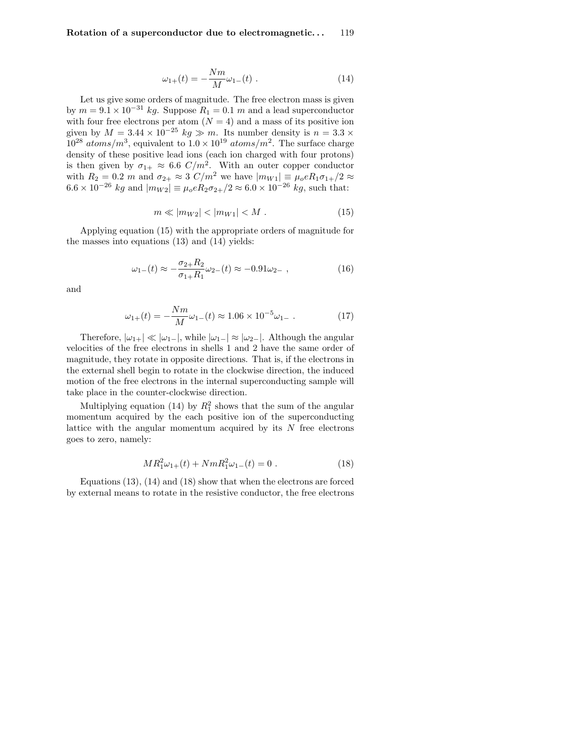$$
\omega_{1+}(t) = -\frac{Nm}{M}\omega_{1-}(t) . \tag{14}
$$

Let us give some orders of magnitude. The free electron mass is given by  $m = 9.1 \times 10^{-31}$  kg. Suppose  $R_1 = 0.1$  m and a lead superconductor with four free electrons per atom  $(N = 4)$  and a mass of its positive ion given by  $M = 3.44 \times 10^{-25}$  kg  $\gg m$ . Its number density is  $n = 3.3 \times$  $10^{28}~atoms/m^3$ , equivalent to  $1.0 \times 10^{19}~atoms/m^2$ . The surface charge density of these positive lead ions (each ion charged with four protons) is then given by  $\sigma_{1+} \approx 6.6 \, \text{C/m}^2$ . With an outer copper conductor with  $R_2 = 0.2$  m and  $\sigma_{2+} \approx 3 \text{ } C/m^2$  we have  $|m_{W1}| \equiv \mu_0 e R_1 \sigma_{1+}/2 \approx$  $6.6 \times 10^{-26}$  kg and  $|m_{W2}| \equiv \mu_0 e R_2 \sigma_{2+}/2 \approx 6.0 \times 10^{-26}$  kg, such that:

$$
m \ll |m_{W2}| < |m_{W1}| < M . \tag{15}
$$

Applying equation (15) with the appropriate orders of magnitude for the masses into equations (13) and (14) yields:

$$
\omega_{1-}(t) \approx -\frac{\sigma_{2+}R_2}{\sigma_{1+}R_1}\omega_{2-}(t) \approx -0.91\omega_{2-} , \qquad (16)
$$

and

$$
\omega_{1+}(t) = -\frac{Nm}{M}\omega_{1-}(t) \approx 1.06 \times 10^{-5}\omega_{1-} \tag{17}
$$

Therefore,  $|\omega_{1+}| \ll |\omega_{1-}|$ , while  $|\omega_{1-}| \approx |\omega_{2-}|$ . Although the angular velocities of the free electrons in shells 1 and 2 have the same order of magnitude, they rotate in opposite directions. That is, if the electrons in the external shell begin to rotate in the clockwise direction, the induced motion of the free electrons in the internal superconducting sample will take place in the counter-clockwise direction.

Multiplying equation (14) by  $R_1^2$  shows that the sum of the angular momentum acquired by the each positive ion of the superconducting lattice with the angular momentum acquired by its  $N$  free electrons goes to zero, namely:

$$
MR_1^2\omega_{1+}(t) + NmR_1^2\omega_{1-}(t) = 0.
$$
 (18)

Equations (13), (14) and (18) show that when the electrons are forced by external means to rotate in the resistive conductor, the free electrons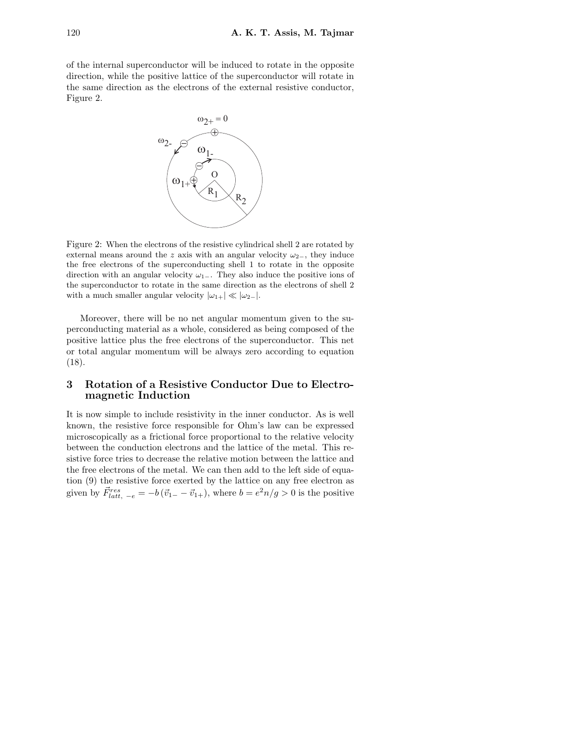of the internal superconductor will be induced to rotate in the opposite direction, while the positive lattice of the superconductor will rotate in the same direction as the electrons of the external resistive conductor, Figure 2.



Figure 2: When the electrons of the resistive cylindrical shell 2 are rotated by external means around the z axis with an angular velocity  $\omega_{2-}$ , they induce the free electrons of the superconducting shell 1 to rotate in the opposite direction with an angular velocity  $\omega_{1-}$ . They also induce the positive ions of the superconductor to rotate in the same direction as the electrons of shell 2 with a much smaller angular velocity  $|\omega_{1+}| \ll |\omega_{2-}|$ .

Moreover, there will be no net angular momentum given to the superconducting material as a whole, considered as being composed of the positive lattice plus the free electrons of the superconductor. This net or total angular momentum will be always zero according to equation (18).

### 3 Rotation of a Resistive Conductor Due to Electromagnetic Induction

It is now simple to include resistivity in the inner conductor. As is well known, the resistive force responsible for Ohm's law can be expressed microscopically as a frictional force proportional to the relative velocity between the conduction electrons and the lattice of the metal. This resistive force tries to decrease the relative motion between the lattice and the free electrons of the metal. We can then add to the left side of equation (9) the resistive force exerted by the lattice on any free electron as given by  $\vec{F}_{latt, -e}^{res} = -b(\vec{v}_{1-} - \vec{v}_{1+}),$  where  $b = e^2 n/g > 0$  is the positive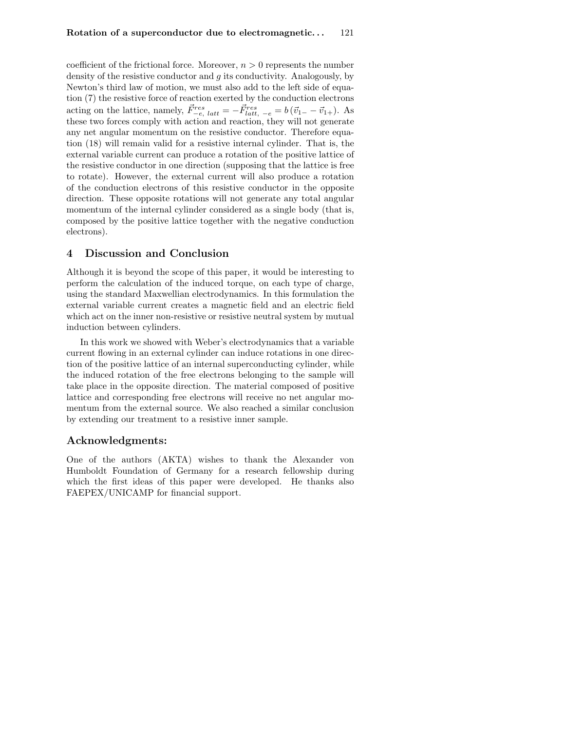coefficient of the frictional force. Moreover,  $n > 0$  represents the number density of the resistive conductor and g its conductivity. Analogously, by Newton's third law of motion, we must also add to the left side of equation (7) the resistive force of reaction exerted by the conduction electrons acting on the lattice, namely,  $\vec{F}_{-e, latt}^{res} = -\vec{F}_{latt, -e}^{res} = b(\vec{v}_{1-} - \vec{v}_{1+})$ . As these two forces comply with action and reaction, they will not generate any net angular momentum on the resistive conductor. Therefore equation (18) will remain valid for a resistive internal cylinder. That is, the external variable current can produce a rotation of the positive lattice of the resistive conductor in one direction (supposing that the lattice is free to rotate). However, the external current will also produce a rotation of the conduction electrons of this resistive conductor in the opposite direction. These opposite rotations will not generate any total angular momentum of the internal cylinder considered as a single body (that is, composed by the positive lattice together with the negative conduction electrons).

#### 4 Discussion and Conclusion

Although it is beyond the scope of this paper, it would be interesting to perform the calculation of the induced torque, on each type of charge, using the standard Maxwellian electrodynamics. In this formulation the external variable current creates a magnetic field and an electric field which act on the inner non-resistive or resistive neutral system by mutual induction between cylinders.

In this work we showed with Weber's electrodynamics that a variable current flowing in an external cylinder can induce rotations in one direction of the positive lattice of an internal superconducting cylinder, while the induced rotation of the free electrons belonging to the sample will take place in the opposite direction. The material composed of positive lattice and corresponding free electrons will receive no net angular momentum from the external source. We also reached a similar conclusion by extending our treatment to a resistive inner sample.

# Acknowledgments:

One of the authors (AKTA) wishes to thank the Alexander von Humboldt Foundation of Germany for a research fellowship during which the first ideas of this paper were developed. He thanks also FAEPEX/UNICAMP for financial support.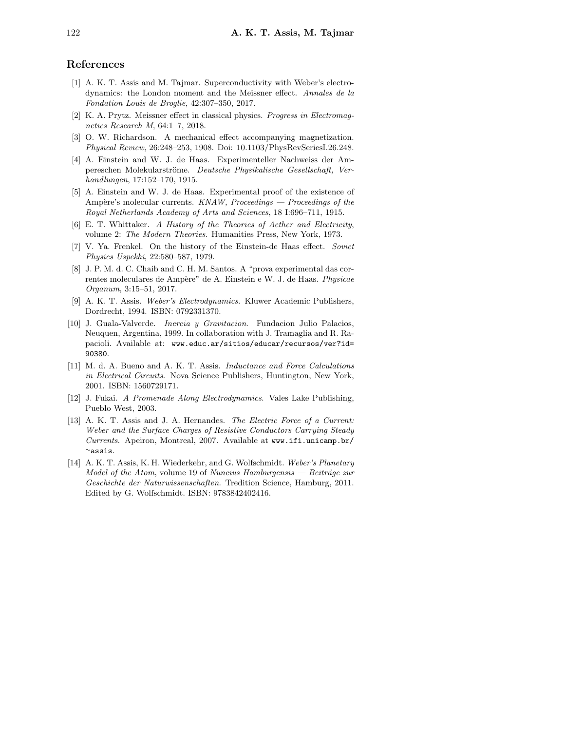# References

- [1] A. K. T. Assis and M. Tajmar. Superconductivity with Weber's electrodynamics: the London moment and the Meissner effect. Annales de la Fondation Louis de Broglie, 42:307–350, 2017.
- [2] K. A. Prytz. Meissner effect in classical physics. Progress in Electromagnetics Research M, 64:1–7, 2018.
- [3] O. W. Richardson. A mechanical effect accompanying magnetization. Physical Review, 26:248–253, 1908. Doi: 10.1103/PhysRevSeriesI.26.248.
- [4] A. Einstein and W. J. de Haas. Experimenteller Nachweiss der Ampereschen Molekularströme. Deutsche Physikalische Gesellschaft, Verhandlungen, 17:152–170, 1915.
- [5] A. Einstein and W. J. de Haas. Experimental proof of the existence of Ampère's molecular currents.  $KNAW$ , Proceedings  $-$  Proceedings of the Royal Netherlands Academy of Arts and Sciences, 18 I:696–711, 1915.
- [6] E. T. Whittaker. A History of the Theories of Aether and Electricity, volume 2: The Modern Theories. Humanities Press, New York, 1973.
- [7] V. Ya. Frenkel. On the history of the Einstein-de Haas effect. Soviet Physics Uspekhi, 22:580–587, 1979.
- [8] J. P. M. d. C. Chaib and C. H. M. Santos. A "prova experimental das correntes moleculares de Ampère" de A. Einstein e W. J. de Haas. Physicae Organum, 3:15–51, 2017.
- [9] A. K. T. Assis. Weber's Electrodynamics. Kluwer Academic Publishers, Dordrecht, 1994. ISBN: 0792331370.
- [10] J. Guala-Valverde. Inercia y Gravitacion. Fundacion Julio Palacios, Neuquen, Argentina, 1999. In collaboration with J. Tramaglia and R. Rapacioli. Available at: www.educ.ar/sitios/educar/recursos/ver?id= 90380.
- [11] M. d. A. Bueno and A. K. T. Assis. Inductance and Force Calculations in Electrical Circuits. Nova Science Publishers, Huntington, New York, 2001. ISBN: 1560729171.
- [12] J. Fukai. A Promenade Along Electrodynamics. Vales Lake Publishing, Pueblo West, 2003.
- [13] A. K. T. Assis and J. A. Hernandes. *The Electric Force of a Current:* Weber and the Surface Charges of Resistive Conductors Carrying Steady Currents. Apeiron, Montreal, 2007. Available at www.ifi.unicamp.br/ <sup>∼</sup>assis.
- [14] A. K. T. Assis, K. H. Wiederkehr, and G. Wolfschmidt. Weber's Planetary Model of the Atom, volume 19 of Nuncius Hamburgensis — Beiträge zur Geschichte der Naturwissenschaften. Tredition Science, Hamburg, 2011. Edited by G. Wolfschmidt. ISBN: 9783842402416.